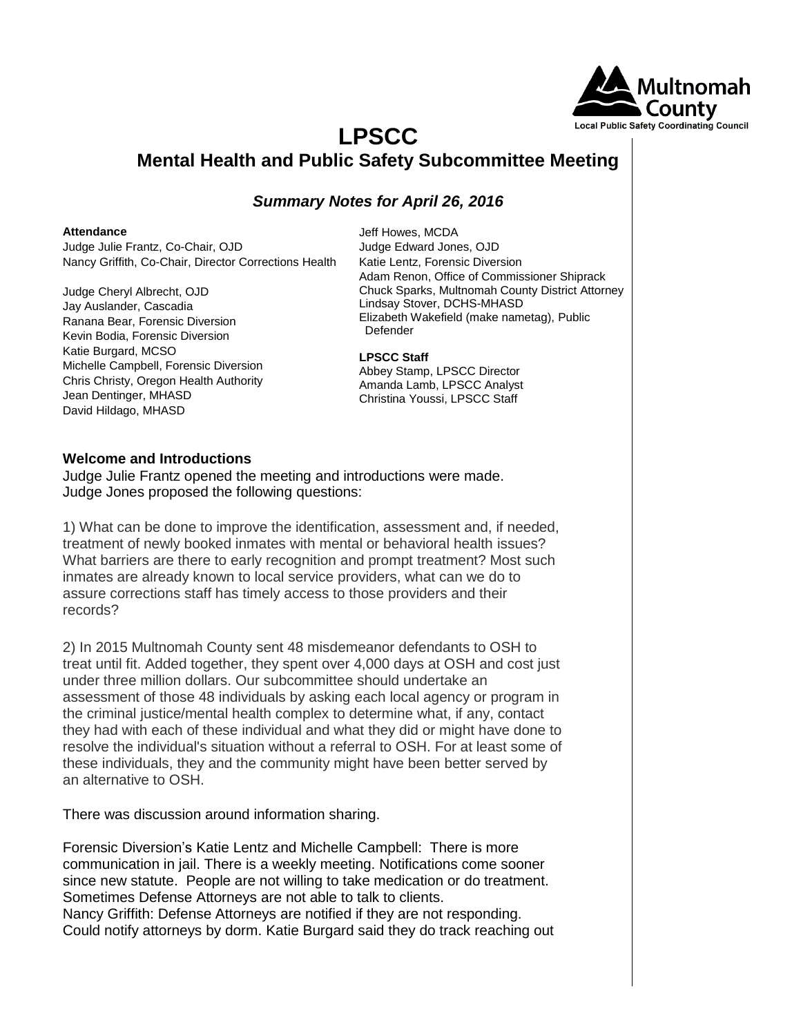

# **LPSCC Mental Health and Public Safety Subcommittee Meeting**

# *Summary Notes for April 26, 2016*

#### **Attendance**

Judge Julie Frantz, Co-Chair, OJD Nancy Griffith, Co-Chair, Director Corrections Health

Judge Cheryl Albrecht, OJD Jay Auslander, Cascadia Ranana Bear, Forensic Diversion Kevin Bodia, Forensic Diversion Katie Burgard, MCSO Michelle Campbell, Forensic Diversion Chris Christy, Oregon Health Authority Jean Dentinger, MHASD David Hildago, MHASD

Jeff Howes, MCDA Judge Edward Jones, OJD Katie Lentz, Forensic Diversion Adam Renon, Office of Commissioner Shiprack Chuck Sparks, Multnomah County District Attorney Lindsay Stover, DCHS-MHASD Elizabeth Wakefield (make nametag), Public Defender

### **LPSCC Staff**

Abbey Stamp, LPSCC Director Amanda Lamb, LPSCC Analyst Christina Youssi, LPSCC Staff

## **Welcome and Introductions**

Judge Julie Frantz opened the meeting and introductions were made. Judge Jones proposed the following questions:

1) What can be done to improve the identification, assessment and, if needed, treatment of newly booked inmates with mental or behavioral health issues? What barriers are there to early recognition and prompt treatment? Most such inmates are already known to local service providers, what can we do to assure corrections staff has timely access to those providers and their records?

2) In 2015 Multnomah County sent 48 misdemeanor defendants to OSH to treat until fit. Added together, they spent over 4,000 days at OSH and cost just under three million dollars. Our subcommittee should undertake an assessment of those 48 individuals by asking each local agency or program in the criminal justice/mental health complex to determine what, if any, contact they had with each of these individual and what they did or might have done to resolve the individual's situation without a referral to OSH. For at least some of these individuals, they and the community might have been better served by an alternative to OSH.

There was discussion around information sharing.

Forensic Diversion's Katie Lentz and Michelle Campbell: There is more communication in jail. There is a weekly meeting. Notifications come sooner since new statute. People are not willing to take medication or do treatment. Sometimes Defense Attorneys are not able to talk to clients.

Nancy Griffith: Defense Attorneys are notified if they are not responding. Could notify attorneys by dorm. Katie Burgard said they do track reaching out